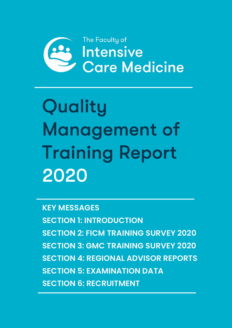

Quality Management of Training Report 2020

**KEY MESSAGES SECTION 1: INTRODUCTION SECTION 2: FICM TRAINING SURVEY 2020 SECTION 3: GMC TRAINING SURVEY 2020 SECTION 4: REGIONAL ADVISOR REPORTS SECTION 5: EXAMINATION DATA SECTION 6: RECRUITMENT**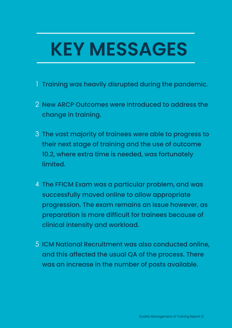# **KEY MESSAGES**

- 1 Training was heavily disrupted during the pandemic.
- 2 New ARCP Outcomes were introduced to address the change in training.
- 3 The vast majority of trainees were able to progress to their next stage of training and the use of outcome 10.2, where extra time is needed, was fortunately limited.
- 4 The FFICM Exam was a particular problem, and was successfully moved online to allow appropriate progression. The exam remains an issue however, as preparation is more difficult for trainees because of clinical intensity and workload.
- 5 ICM National Recruitment was also conducted online, and this affected the usual QA of the process. There was an increase in the number of posts available.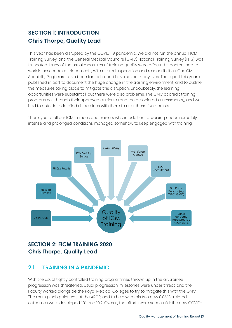## **SECTION 1: INTRODUCTION Chris Thorpe, Quality Lead**

This year has been disrupted by the COVID-19 pandemic. We did not run the annual FICM Training Survey, and the General Medical Council's (GMC) National Training Survey (NTS) was truncated. Many of the usual measures of training quality were affected – doctors had to work in unscheduled placements, with altered supervision and responsibilities. Our ICM Specialty Registrars have been fantastic, and have saved many lives. The report this year is published in part to document the huge change in the training environment, and to outline the measures taking place to mitigate this disruption. Undoubtedly, the learning opportunities were substantial, but there were also problems. The GMC accredit training programmes through their approved curricula (and the associated assessments), and we had to enter into detailed discussions with them to alter these fixed points.



Thank you to all our ICM trainees and trainers who in addition to working under incredibly intense and prolonged conditions managed somehow to keep engaged with training.

#### **SECTION 2: FICM TRAINING 2020 Chris Thorpe, Quality Lead**

#### 2.1 TRAINING IN A PANDEMIC

With the usual tightly controlled training programmes thrown up in the air, trainee progression was threatened. Usual progression milestones were under threat, and the Faculty worked alongside the Royal Medical Colleges to try to mitigate this with the GMC. The main pinch point was at the ARCP, and to help with this two new COVID-related outcomes were developed: 10.1 and 10.2. Overall, the efforts were successful: the new COVID-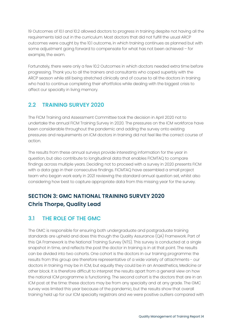19 Outcomes of 10.1 and 10.2 allowed doctors to progress in training despite not having all the requirements laid out in the curriculum. Most doctors that did not fulfill the usual ARCP outcomes were caught by the 10.1 outcome, in which training continues as planned but with some adjustment going forward to compensate for what has not been achieved – for example, the exam.

Fortunately, there were only a few 10.2 Outcomes in which doctors needed extra time before progressing. Thank you to all the trainers and consultants who coped superbly with the ARCP season while still being stretched clinically and of course to all the doctors in training who had to continue completing their ePortfolios while dealing with the biggest crisis to affect our specialty in living memory.

#### 2.2 TRAINING SURVEY 2020

The FICM Training and Assessment Committee took the decision in April 2020 not to undertake the annual FICM Training Survey in 2020. The pressures on the ICM workforce have been considerable throughout the pandemic and adding the survey onto existing pressures and requirements on ICM doctors in training did not feel like the correct course of action.

The results from these annual surveys provide interesting information for the year in question, but also contribute to longitudinal data that enables FICMTAQ to compare findings across multiple years. Deciding not to proceed with a survey in 2020 presents FICM with a data gap in their consecutive findings. FICMTAQ have assembled a small project team who began work early in 2021 reviewing the standard annual question set, whilst also considering how best to capture appropriate data from this missing year for the survey.

## **SECTION 3: GMC NATIONAL TRAINING SURVEY 2020 Chris Thorpe, Quality Lead**

#### 3.1 THE ROLE OF THE GMC

The GMC is responsible for ensuring both undergraduate and postgraduate training standards are upheld and does this though the Quality Assurance (QA) Framework. Part of this QA Framework is the National Training Survey (NTS). This survey is conducted at a single snapshot in time, and reflects the post the doctor in training is in at that point. The results can be divided into two cohorts. One cohort is the doctors in our training programme: the results from this group are therefore representative of a wide variety of attachments - our doctors in training may be in ICM, but equally they could be in an Anaesthetics, Medicine or other block. It is therefore difficult to interpret the results apart from a general view on how the national ICM programme is functioning. The second cohort is the doctors that are in an ICM post at the time: these doctors may be from any specialty and at any grade. The GMC survey was limited this year because of the pandemic, but the results show that overall training held up for our ICM specialty registrars and we were positive outliers compared with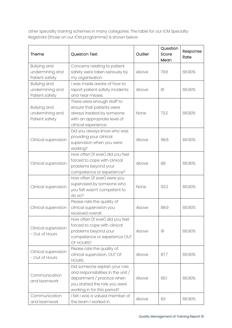other specialty training schemes in many categories. The table for our ICM Specialty Registrars (those on our ICM programme) is shown below.

| Theme                                                    | <b>Question Text</b>                                                                                                                                                | Outlier | Question<br>Score<br>Mean | Response<br>Rate |
|----------------------------------------------------------|---------------------------------------------------------------------------------------------------------------------------------------------------------------------|---------|---------------------------|------------------|
| Bullying and                                             | Concerns relating to patient                                                                                                                                        |         |                           |                  |
| undermining and                                          | safety were taken seriously by                                                                                                                                      | Above   | 79.6                      | 66.90%           |
| Patient safety                                           | my organisation.                                                                                                                                                    |         |                           |                  |
| <b>Bullying and</b>                                      | I was made aware of how to                                                                                                                                          |         |                           |                  |
| undermining and                                          | report patient safety incidents                                                                                                                                     | Above   | 81                        | 66.90%           |
| Patient safety                                           | and near misses.                                                                                                                                                    |         |                           |                  |
| <b>Bullying and</b><br>undermining and<br>Patient safety | There were enough staff to<br>ensure that patients were<br>always treated by someone<br>with an appropriate level of<br>clinical experience.                        | None    | 73.2                      | 66.90%           |
| Clinical supervision                                     | Did you always know who was<br>providing your clinical<br>supervision when you were<br>working?                                                                     | Above   | 98.8                      | 66.90%           |
| Clinical supervision                                     | How often (if ever) did you feel<br>forced to cope with clinical<br>problems beyond your<br>competence or experience?                                               | Above   | 88                        | 66.90%           |
| Clinical supervision                                     | How often (if ever) were you<br>supervised by someone who<br>you felt wasn't competent to<br>do so?                                                                 | None    | 93.2                      | 66.90%           |
| Clinical supervision                                     | Please rate the quality of<br>clinical supervision you<br>received overall.                                                                                         | Above   | 88.9                      | 66.90%           |
| Clinical supervision<br>- Out of Hours                   | How often (if ever) did you feel<br>forced to cope with clinical<br>problems beyond your<br>competence or experience OUT<br>OF HOURS?                               | Above   | 91                        | 66.90%           |
| Clinical supervision<br>- Out of Hours                   | Please rate the quality of<br>clinical supervision, OUT OF<br>HOURS.                                                                                                | Above   | 87.7                      | 66.90%           |
| Communication<br>and teamwork                            | Did someone explain your role<br>and responsibilities in the unit $/$<br>department / practice when<br>you started the role you were<br>working in for this period? | Above   | 90.1                      | 66.90%           |
| Communication<br>and teamwork                            | I felt I was a valued member of<br>the team I worked in.                                                                                                            | Above   | 83                        | 66.90%           |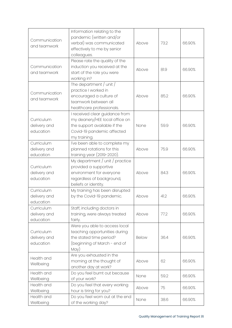| Communication<br>and teamwork           | Information relating to the<br>pandemic (written and/or<br>verbal) was communicated<br>effectively to me by senior<br>colleagues.              | Above        | 73.2 | 66.90% |
|-----------------------------------------|------------------------------------------------------------------------------------------------------------------------------------------------|--------------|------|--------|
| Communication<br>and teamwork           | Please rate the quality of the<br>induction you received at the<br>start of the role you were<br>working in?                                   | Above        | 81.9 | 66.90% |
| Communication<br>and teamwork           | The department / unit /<br>practice I worked in<br>encouraged a culture of<br>teamwork between all<br>healthcare professionals.                | Above        | 85.2 | 66.90% |
| Curriculum<br>delivery and<br>education | I received clear guidance from<br>my deanery/HEE local office on<br>the support available if the<br>Covid-19 pandemic affected<br>my training. | None         | 59.9 | 66.90% |
| Curriculum<br>delivery and<br>education | I've been able to complete my<br>planned rotations for this<br>training year (2019-2020).                                                      | Above        | 75.9 | 66.90% |
| Curriculum<br>delivery and<br>education | My department / unit / practice<br>provided a supportive<br>environment for everyone<br>regardless of background,<br>beliefs or identity.      | Above        | 84.3 | 66.90% |
| Curriculum<br>delivery and<br>education | My training has been disrupted<br>by the Covid-19 pandemic.                                                                                    | Above        | 41.2 | 66.90% |
| Curriculum<br>delivery and<br>education | Staff, including doctors in<br>training, were always treated<br>fairly.                                                                        | Above        | 77.2 | 66.90% |
| Curriculum<br>delivery and<br>education | Were you able to access local<br>teaching opportunities during<br>the stated time period?<br>(beginning of March - end of<br>May)              | <b>Below</b> | 36.4 | 66.90% |
| Health and<br>Wellbeing                 | Are you exhausted in the<br>morning at the thought of<br>another day at work?                                                                  | Above        | 62   | 66.90% |
| Health and<br>Wellbeing                 | Do you feel burnt out because<br>of your work?                                                                                                 | None         | 59.2 | 66.90% |
| Health and<br>Wellbeing                 | Do you feel that every working<br>hour is tiring for you?                                                                                      | Above        | 75   | 66.90% |
| Health and<br>Wellbeing                 | Do you feel worn out at the end<br>of the working day?                                                                                         | None         | 38.6 | 66.90% |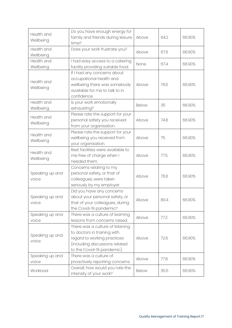| Health and<br>Wellbeing  | Do you have enough energy for<br>family and friends during leisure<br>time?                                                                                    | Above        | 64.2 | 66.90% |
|--------------------------|----------------------------------------------------------------------------------------------------------------------------------------------------------------|--------------|------|--------|
| Health and<br>Wellbeing  | Does your work frustrate you?                                                                                                                                  | Above        | 67.6 | 66.90% |
| Health and<br>Wellbeing  | I had easy access to a catering<br>facility providing suitable food.                                                                                           | None         | 67.4 | 66.90% |
| Health and<br>Wellbeing  | If I had any concerns about<br>occupational health and<br>wellbeing there was somebody<br>available for me to talk to in<br>confidence.                        | Above        | 76.5 | 66.90% |
| Health and<br>Wellbeing  | Is your work emotionally<br>exhausting?                                                                                                                        | <b>Below</b> | 35   | 66.90% |
| Health and<br>Wellbeing  | Please rate the support for your<br>personal safety you received<br>from your organisation.                                                                    | Above        | 74.8 | 66.90% |
| Health and<br>Wellbeing  | Please rate the support for your<br>wellbeing you received from<br>your organisation.                                                                          | Above        | 75   | 66.90% |
| Health and<br>Wellbeing  | Rest facilities were available to<br>me free of charge when I<br>needed them.                                                                                  | Above        | 77.5 | 66.90% |
| Speaking up and<br>voice | Concerns relating to my<br>personal safety, or that of<br>colleagues, were taken<br>seriously by my employer.                                                  | Above        | 76.6 | 66.90% |
| Speaking up and<br>voice | Did you have any concerns<br>about your personal safety, or<br>that of your colleagues, during<br>the Covid-19 pandemic?                                       | Above        | 80.4 | 66.90% |
| Speaking up and<br>voice | There was a culture of learning<br>lessons from concerns raised.                                                                                               | Above        | 77.2 | 66.90% |
| Speaking up and<br>voice | There was a culture of listening<br>to doctors in training with<br>regard to working practices<br>(including discussions related<br>to the Covid-19 pandemic). | Above        | 72.6 | 66.90% |
| Speaking up and<br>voice | There was a culture of<br>proactively reporting concerns.                                                                                                      | Above        | 77.8 | 66.90% |
| Workload                 | Overall, how would you rate the<br>intensity of your work?                                                                                                     | <b>Below</b> | 35.5 | 66.90% |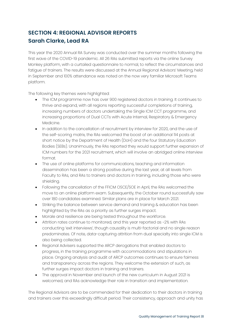### **SECTION 4: REGIONAL ADVISOR REPORTS Sarah Clarke, Lead RA**

This year the 2020 Annual RA Survey was conducted over the summer months following the first wave of the COVID-19 pandemic. All 26 RAs submitted reports via the online Survey Monkey platform, with a curtailed questionnaire to normal, to reflect the circumstances and fatigue of trainers. The results were discussed at the Annual Regional Advisors' Meeting, held in September and 100% attendance was noted on the now very familiar Microsoft Teams platform.

The following key themes were highlighted:

- The ICM programme now has over 900 registered doctors in training. It continues to thrive and expand, with all regions reporting successful completions of training, increasing numbers of doctors undertaking the Single ICM CCT programme, and increasing proportions of Dual CCTs with Acute Internal, Respiratory & Emergency Medicine.
- In addition to the cancellation of recruitment by interview for 2020, and the use of the self-scoring matrix, the RAs welcomed the boost of an additional 114 posts at short notice by the Department of Health (DoH) and the four Statutory Education Bodies (SEBs). Unanimously, the RAs reported they would support further expansion of ICM numbers for the 2021 recruitment, which will involve an abridged online interview format.
- The use of online platforms for communications, teaching and information dissemination has been a strong positive during the last year, at all levels from Faculty to RAs, and RAs to trainers and doctors in training, including those who were shielding.
- Following the cancellation of the FFICM OSCE/SOE in April, the RAs welcomed the move to an online platform exam. Subsequently, the October round successfully saw over 180 candidates examined. Similar plans are in place for March 2021.
- Striking the balance between service demand and training & education has been highlighted by the RAs as a priority as further surges impact.
- Morale and resilience are being tested throughout the workforce.
- Attrition rates continue to monitored, and this year reported as ~2% with RAs conducting 'exit interviews', though causality is multi-factorial and no single reason predominates. Of note, data-capturing attrition from dual specialty into single ICM is also being collected.
- Regional Advisers supported the ARCP derogations that enabled doctors to progress, in the training programme with accommodations and stipulations in place. Ongoing analysis and audit of ARCP outcomes continues to ensure fairness and transparency across the regions. They welcome the extension of such, as further surges impact doctors in training and trainers.
- The approval in November and launch of the new curriculum in August 2021 is welcomed, and RAs acknowledge their role in transition and implementation.

The Regional Advisors are to be commended for their dedication to their doctors in training and trainers over this exceedingly difficult period. Their consistency, approach and unity has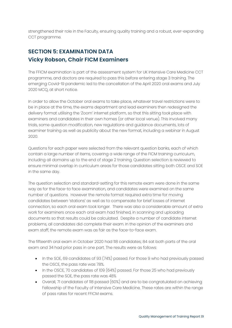strengthened their role in the Faculty, ensuring quality training and a robust, ever-expanding CCT programme.

## **SECTION 5: EXAMINATION DATA Vicky Robson, Chair FICM Examiners**

The FFICM examination is part of the assessment system for UK Intensive Care Medicine CCT programme, and doctors are required to pass this before entering stage 3 training. The emerging Covid-19 pandemic led to the cancellation of the April 2020 oral exams and July 2020 MCQ, at short notice.

In order to allow the October oral exams to take place, whatever travel restrictions were to be in place at the time, the exams department and lead examiners then redesigned the delivery format utilising the 'Zoom' internet platform, so that this sitting took place with examiners and candidates in their own homes (or other local venue). This involved many trials, some question modification, new regulations and guidance documents, lots of examiner training as well as publicity about the new format, including a webinar in August 2020.

Questions for each paper were selected from the relevant question banks, each of which contain a large number of items, covering a wide range of the FICM training curriculum, including all domains up to the end of stage 2 training. Question selection is reviewed to ensure minimal overlap in curriculum areas for those candidates sitting both OSCE and SOE in the same day.

The question selection and standard-setting for this remote exam were done in the same way as for the face-to face examination, and candidates were examined on the same number of questions. However the remote format required extra time for moving candidates between 'stations' as well as to compensate for brief losses of internet connection, so each oral exam took longer. There was also a considerable amount of extra work for examiners once each oral exam had finished, in scanning and uploading documents so that results could be calculated. Despite a number of candidate internet problems, all candidates did complete their exam. In the opinion of the examiners and exam staff, the remote exam was as fair as the face-to-face exam.

The fifteenth oral exam in October 2020 had 118 candidates; 84 sat both parts of the oral exam and 34 had prior pass in one part. The results were as follows:

- In the SOE, 69 candidates of 93 (74%) passed. For those 9 who had previously passed the OSCE, the pass rate was 78%.
- In the OSCE, 70 candidates of 109 (64%) passed. For those 25 who had previously passed the SOE, the pass rate was 48%
- Overall, 71 candidates of 118 passed (60%) and are to be congratulated on achieving Fellowship of the Faculty of Intensive Care Medicine. These rates are within the range of pass rates for recent FFICM exams.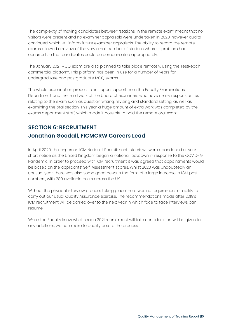The complexity of moving candidates between 'stations' in the remote exam meant that no visitors were present and no examiner appraisals were undertaken in 2020, however audits continued, which will inform future examiner appraisals. The ability to record the remote exams allowed a review of the very small number of stations where a problem had occurred, so that candidates could be compensated appropriately.

The January 2021 MCQ exam are also planned to take place remotely, using the TestReach commercial platform. This platform has been in use for a number of years for undergraduate and postgraduate MCQ exams.

The whole examination process relies upon support from the Faculty Examinations Department and the hard work of the board of examiners who have many responsibilities relating to the exam such as question writing, revising and standard setting, as well as examining the oral section. This year a huge amount of extra work was completed by the exams department staff, which made it possible to hold the remote oral exam.

## **SECTION 6: RECRUITMENT Jonathan Goodall, FICMCRW Careers Lead**

In April 2020, the in-person ICM National Recruitment interviews were abandoned at very short notice as the United Kingdom began a national lockdown in response to the COVID-19 Pandemic. In order to proceed with ICM recruitment it was agreed that appointments would be based on the applicants' Self-Assessment scores. Whilst 2020 was undoubtedly an unusual year, there was also some good news in the form of a large increase in ICM post numbers, with 289 available posts across the UK.

Without the physical interview process taking place there was no requirement or ability to carry out our usual Quality Assurance exercise. The recommendations made after 2019's ICM recruitment will be carried over to the next year in which face to face interviews can resume.

When the Faculty know what shape 2021 recruitment will take consideration will be given to any additions, we can make to quality assure the process.